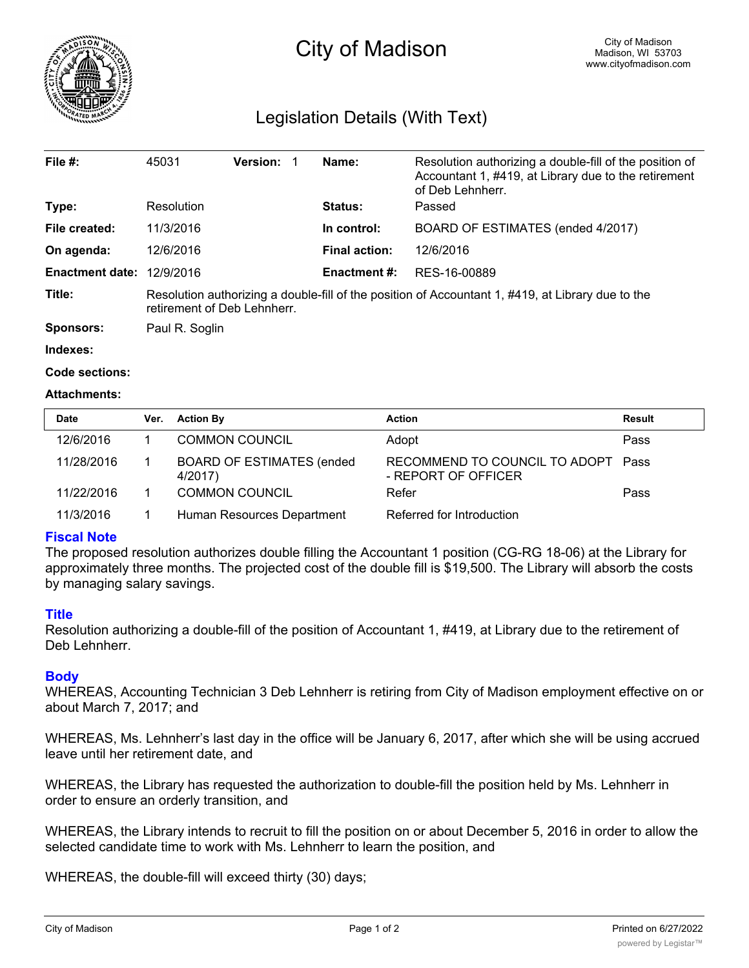

# City of Madison

# Legislation Details (With Text)

| File $#$ :             | 45031                                                                                                                            | Version: |  | Name:                | Resolution authorizing a double-fill of the position of<br>Accountant 1, #419, at Library due to the retirement<br>of Deb Lehnherr. |  |  |
|------------------------|----------------------------------------------------------------------------------------------------------------------------------|----------|--|----------------------|-------------------------------------------------------------------------------------------------------------------------------------|--|--|
| Type:                  | Resolution                                                                                                                       |          |  | <b>Status:</b>       | Passed                                                                                                                              |  |  |
| File created:          | 11/3/2016                                                                                                                        |          |  | In control:          | BOARD OF ESTIMATES (ended 4/2017)                                                                                                   |  |  |
| On agenda:             | 12/6/2016                                                                                                                        |          |  | <b>Final action:</b> | 12/6/2016                                                                                                                           |  |  |
| <b>Enactment date:</b> | 12/9/2016                                                                                                                        |          |  | <b>Enactment #:</b>  | RES-16-00889                                                                                                                        |  |  |
| Title:                 | Resolution authorizing a double-fill of the position of Accountant 1, #419, at Library due to the<br>retirement of Deb Lehnherr. |          |  |                      |                                                                                                                                     |  |  |
| <b>Sponsors:</b>       | Paul R. Soglin                                                                                                                   |          |  |                      |                                                                                                                                     |  |  |
| Indexes:               |                                                                                                                                  |          |  |                      |                                                                                                                                     |  |  |

```
Code sections:
```
#### **Attachments:**

| <b>Date</b> | Ver. | <b>Action By</b>                            | <b>Action</b>                                             | Result |
|-------------|------|---------------------------------------------|-----------------------------------------------------------|--------|
| 12/6/2016   |      | <b>COMMON COUNCIL</b>                       | Adopt                                                     | Pass   |
| 11/28/2016  |      | <b>BOARD OF ESTIMATES (ended</b><br>4/2017) | RECOMMEND TO COUNCIL TO ADOPT Pass<br>- REPORT OF OFFICER |        |
| 11/22/2016  |      | <b>COMMON COUNCIL</b>                       | Refer                                                     | Pass   |
| 11/3/2016   |      | Human Resources Department                  | Referred for Introduction                                 |        |

## **Fiscal Note**

The proposed resolution authorizes double filling the Accountant 1 position (CG-RG 18-06) at the Library for approximately three months. The projected cost of the double fill is \$19,500. The Library will absorb the costs by managing salary savings.

#### **Title**

Resolution authorizing a double-fill of the position of Accountant 1, #419, at Library due to the retirement of Deb Lehnherr.

## **Body**

WHEREAS, Accounting Technician 3 Deb Lehnherr is retiring from City of Madison employment effective on or about March 7, 2017; and

WHEREAS, Ms. Lehnherr's last day in the office will be January 6, 2017, after which she will be using accrued leave until her retirement date, and

WHEREAS, the Library has requested the authorization to double-fill the position held by Ms. Lehnherr in order to ensure an orderly transition, and

WHEREAS, the Library intends to recruit to fill the position on or about December 5, 2016 in order to allow the selected candidate time to work with Ms. Lehnherr to learn the position, and

WHEREAS, the double-fill will exceed thirty (30) days;